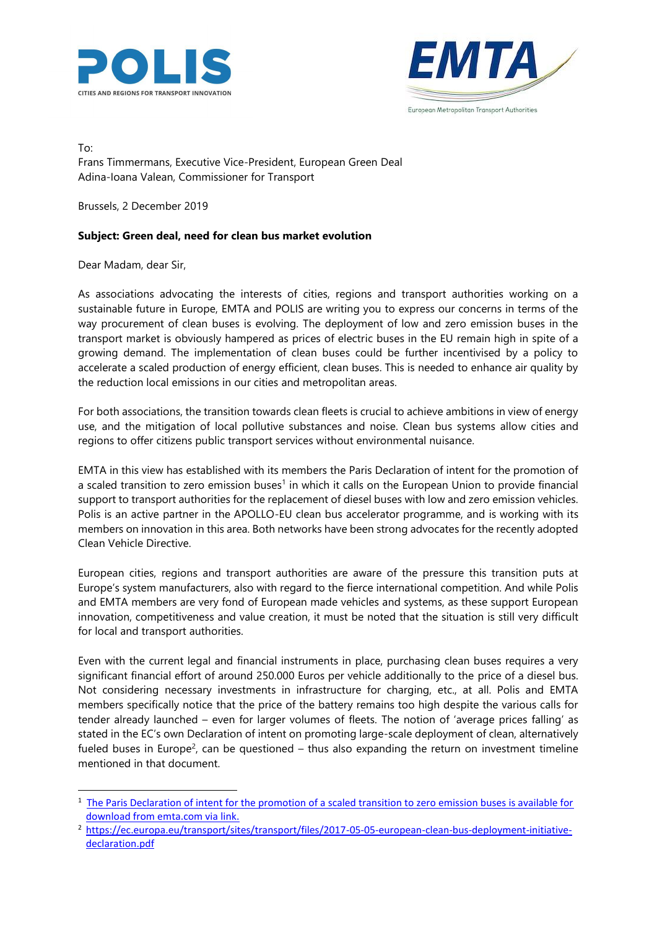



To: Frans Timmermans, Executive Vice-President, European Green Deal Adina-Ioana Valean, Commissioner for Transport

Brussels, 2 December 2019

## **Subject: Green deal, need for clean bus market evolution**

Dear Madam, dear Sir,

As associations advocating the interests of cities, regions and transport authorities working on a sustainable future in Europe, EMTA and POLIS are writing you to express our concerns in terms of the way procurement of clean buses is evolving. The deployment of low and zero emission buses in the transport market is obviously hampered as prices of electric buses in the EU remain high in spite of a growing demand. The implementation of clean buses could be further incentivised by a policy to accelerate a scaled production of energy efficient, clean buses. This is needed to enhance air quality by the reduction local emissions in our cities and metropolitan areas.

For both associations, the transition towards clean fleets is crucial to achieve ambitions in view of energy use, and the mitigation of local pollutive substances and noise. Clean bus systems allow cities and regions to offer citizens public transport services without environmental nuisance.

EMTA in this view has established with its members the Paris Declaration of intent for the promotion of a scaled transition to zero emission buses<sup>1</sup> in which it calls on the European Union to provide financial support to transport authorities for the replacement of diesel buses with low and zero emission vehicles. Polis is an active partner in the APOLLO-EU clean bus accelerator programme, and is working with its members on innovation in this area. Both networks have been strong advocates for the recently adopted Clean Vehicle Directive.

European cities, regions and transport authorities are aware of the pressure this transition puts at Europe's system manufacturers, also with regard to the fierce international competition. And while Polis and EMTA members are very fond of European made vehicles and systems, as these support European innovation, competitiveness and value creation, it must be noted that the situation is still very difficult for local and transport authorities.

Even with the current legal and financial instruments in place, purchasing clean buses requires a very significant financial effort of around 250.000 Euros per vehicle additionally to the price of a diesel bus. Not considering necessary investments in infrastructure for charging, etc., at all. Polis and EMTA members specifically notice that the price of the battery remains too high despite the various calls for tender already launched – even for larger volumes of fleets. The notion of 'average prices falling' as stated in the EC's own Declaration of intent on promoting large-scale deployment of clean, alternatively fueled buses in Europe<sup>2</sup>, can be questioned  $-$  thus also expanding the return on investment timeline mentioned in that document.

<sup>&</sup>lt;sup>1</sup> The Paris Declaration of intent for the promotion of a scaled transition to zero emission buses is available for [download from emta.com via link.](https://www.emta.com/spip.php?article270&lang=en)

<sup>2</sup> [https://ec.europa.eu/transport/sites/transport/files/2017-05-05-european-clean-bus-deployment-initiative](https://ec.europa.eu/transport/sites/transport/files/2017-05-05-european-clean-bus-deployment-initiative-declaration.pdf)[declaration.pdf](https://ec.europa.eu/transport/sites/transport/files/2017-05-05-european-clean-bus-deployment-initiative-declaration.pdf)